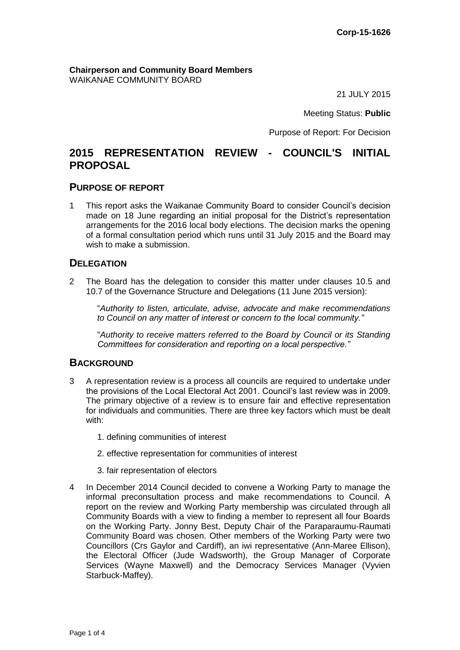**Chairperson and Community Board Members** WAIKANAE COMMUNITY BOARD

21 JULY 2015

Meeting Status: **Public**

Purpose of Report: For Decision

# **2015 REPRESENTATION REVIEW - COUNCIL'S INITIAL PROPOSAL**

#### **PURPOSE OF REPORT**

1 This report asks the Waikanae Community Board to consider Council's decision made on 18 June regarding an initial proposal for the District's representation arrangements for the 2016 local body elections. The decision marks the opening of a formal consultation period which runs until 31 July 2015 and the Board may wish to make a submission.

## **DELEGATION**

2 The Board has the delegation to consider this matter under clauses 10.5 and 10.7 of the Governance Structure and Delegations (11 June 2015 version):

"*Authority to listen, articulate, advise, advocate and make recommendations to Council on any matter of interest or concern to the local community."* 

"*Authority to receive matters referred to the Board by Council or its Standing Committees for consideration and reporting on a local perspective."*

# **BACKGROUND**

- 3 A representation review is a process all councils are required to undertake under the provisions of the Local Electoral Act 2001. Council's last review was in 2009. The primary objective of a review is to ensure fair and effective representation for individuals and communities. There are three key factors which must be dealt with:
	- 1. defining communities of interest
	- 2. effective representation for communities of interest
	- 3. fair representation of electors
- 4 In December 2014 Council decided to convene a Working Party to manage the informal preconsultation process and make recommendations to Council. A report on the review and Working Party membership was circulated through all Community Boards with a view to finding a member to represent all four Boards on the Working Party. Jonny Best, Deputy Chair of the Paraparaumu-Raumati Community Board was chosen. Other members of the Working Party were two Councillors (Crs Gaylor and Cardiff), an iwi representative (Ann-Maree Ellison), the Electoral Officer (Jude Wadsworth), the Group Manager of Corporate Services (Wayne Maxwell) and the Democracy Services Manager (Vyvien Starbuck-Maffey).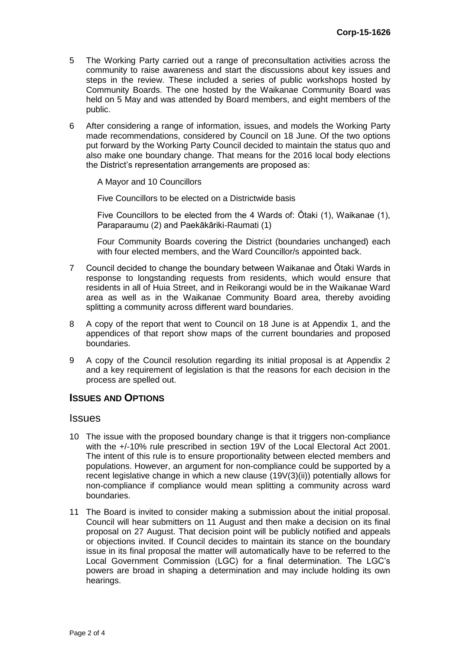- 5 The Working Party carried out a range of preconsultation activities across the community to raise awareness and start the discussions about key issues and steps in the review. These included a series of public workshops hosted by Community Boards. The one hosted by the Waikanae Community Board was held on 5 May and was attended by Board members, and eight members of the public.
- 6 After considering a range of information, issues, and models the Working Party made recommendations, considered by Council on 18 June. Of the two options put forward by the Working Party Council decided to maintain the status quo and also make one boundary change. That means for the 2016 local body elections the District's representation arrangements are proposed as:

A Mayor and 10 Councillors

Five Councillors to be elected on a Districtwide basis

Five Councillors to be elected from the 4 Wards of: Ōtaki (1), Waikanae (1), Paraparaumu (2) and Paekākāriki-Raumati (1)

Four Community Boards covering the District (boundaries unchanged) each with four elected members, and the Ward Councillor/s appointed back.

- 7 Council decided to change the boundary between Waikanae and Ōtaki Wards in response to longstanding requests from residents, which would ensure that residents in all of Huia Street, and in Reikorangi would be in the Waikanae Ward area as well as in the Waikanae Community Board area, thereby avoiding splitting a community across different ward boundaries.
- 8 A copy of the report that went to Council on 18 June is at Appendix 1, and the appendices of that report show maps of the current boundaries and proposed boundaries.
- 9 A copy of the Council resolution regarding its initial proposal is at Appendix 2 and a key requirement of legislation is that the reasons for each decision in the process are spelled out.

#### **ISSUES AND OPTIONS**

#### Issues

- 10 The issue with the proposed boundary change is that it triggers non-compliance with the +/-10% rule prescribed in section 19V of the Local Electoral Act 2001. The intent of this rule is to ensure proportionality between elected members and populations. However, an argument for non-compliance could be supported by a recent legislative change in which a new clause (19V(3)(ii)) potentially allows for non-compliance if compliance would mean splitting a community across ward boundaries.
- 11 The Board is invited to consider making a submission about the initial proposal. Council will hear submitters on 11 August and then make a decision on its final proposal on 27 August. That decision point will be publicly notified and appeals or objections invited. If Council decides to maintain its stance on the boundary issue in its final proposal the matter will automatically have to be referred to the Local Government Commission (LGC) for a final determination. The LGC's powers are broad in shaping a determination and may include holding its own hearings.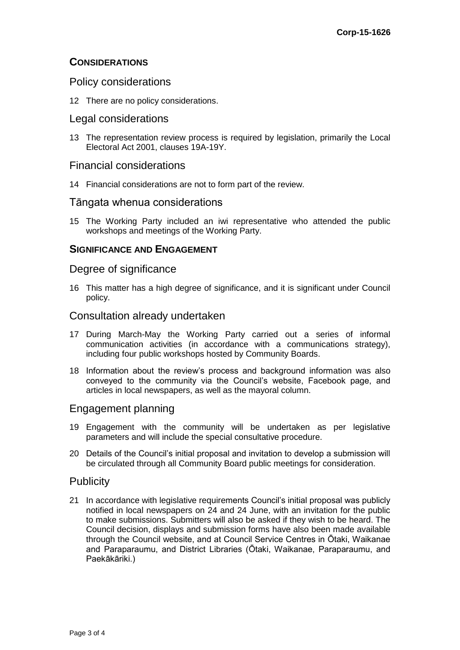# **CONSIDERATIONS**

# Policy considerations

12 There are no policy considerations.

## Legal considerations

13 The representation review process is required by legislation, primarily the Local Electoral Act 2001, clauses 19A-19Y.

#### Financial considerations

14 Financial considerations are not to form part of the review.

#### Tāngata whenua considerations

15 The Working Party included an iwi representative who attended the public workshops and meetings of the Working Party.

#### **SIGNIFICANCE AND ENGAGEMENT**

#### Degree of significance

16 This matter has a high degree of significance, and it is significant under Council policy.

## Consultation already undertaken

- 17 During March-May the Working Party carried out a series of informal communication activities (in accordance with a communications strategy), including four public workshops hosted by Community Boards.
- 18 Information about the review's process and background information was also conveyed to the community via the Council's website, Facebook page, and articles in local newspapers, as well as the mayoral column.

# Engagement planning

- 19 Engagement with the community will be undertaken as per legislative parameters and will include the special consultative procedure.
- 20 Details of the Council's initial proposal and invitation to develop a submission will be circulated through all Community Board public meetings for consideration.

#### **Publicity**

21 In accordance with legislative requirements Council's initial proposal was publicly notified in local newspapers on 24 and 24 June, with an invitation for the public to make submissions. Submitters will also be asked if they wish to be heard. The Council decision, displays and submission forms have also been made available through the Council website, and at Council Service Centres in Ōtaki, Waikanae and Paraparaumu, and District Libraries (Ōtaki, Waikanae, Paraparaumu, and Paekākāriki.)